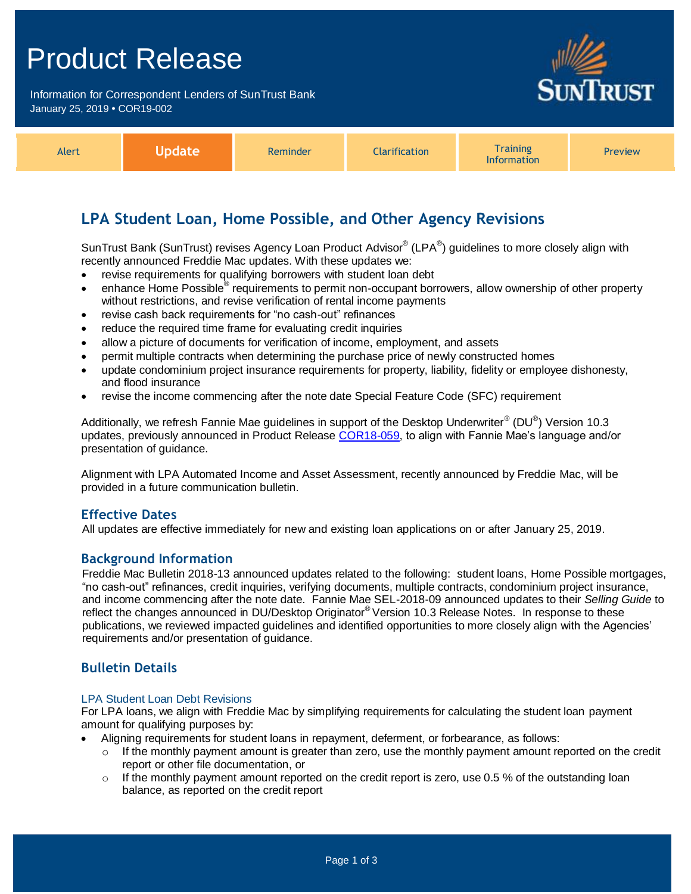## Product Release

Information for Correspondent Lenders of SunTrust Bank January 25, 2019 **•** COR19-002



| Alert | Npdate | Reminder | <b>Clarification</b> | <b>Fraining</b><br><b>Information</b> | <b>Preview</b> |
|-------|--------|----------|----------------------|---------------------------------------|----------------|
|-------|--------|----------|----------------------|---------------------------------------|----------------|

## **LPA Student Loan, Home Possible, and Other Agency Revisions**

SunTrust Bank (SunTrust) revises Agency Loan Product Advisor® (LPA®) guidelines to more closely align with recently announced Freddie Mac updates. With these updates we:

- revise requirements for qualifying borrowers with student loan debt
- enhance Home Possible® requirements to permit non-occupant borrowers, allow ownership of other property without restrictions, and revise verification of rental income payments
- revise cash back requirements for "no cash-out" refinances
- reduce the required time frame for evaluating credit inquiries
- allow a picture of documents for verification of income, employment, and assets
- permit multiple contracts when determining the purchase price of newly constructed homes
- update condominium project insurance requirements for property, liability, fidelity or employee dishonesty, and flood insurance
- revise the income commencing after the note date Special Feature Code (SFC) requirement

Additionally, we refresh Fannie Mae guidelines in support of the Desktop Underwriter® (DU®) Version 10.3 updates, previously announced in Product Release [COR18-059,](https://www.truistsellerguide.com/Manual/cor/bulletins/archive/Cr18-059.pdf) to align with Fannie Mae's language and/or presentation of guidance.

Alignment with LPA Automated Income and Asset Assessment, recently announced by Freddie Mac, will be provided in a future communication bulletin.

### **Effective Dates**

All updates are effective immediately for new and existing loan applications on or after January 25, 2019.

### **Background Information**

Freddie Mac Bulletin 2018-13 announced updates related to the following: student loans, Home Possible mortgages, "no cash-out" refinances, credit inquiries, verifying documents, multiple contracts, condominium project insurance, and income commencing after the note date. Fannie Mae SEL-2018-09 announced updates to their *Selling Guide* to reflect the changes announced in DU/Desktop Originator® Version 10.3 Release Notes. In response to these publications, we reviewed impacted guidelines and identified opportunities to more closely align with the Agencies' requirements and/or presentation of guidance.

### **Bulletin Details**

#### LPA Student Loan Debt Revisions

For LPA loans, we align with Freddie Mac by simplifying requirements for calculating the student loan payment amount for qualifying purposes by:

- Aligning requirements for student loans in repayment, deferment, or forbearance, as follows:
	- $\circ$  If the monthly payment amount is greater than zero, use the monthly payment amount reported on the credit report or other file documentation, or
	- $\circ$  If the monthly payment amount reported on the credit report is zero, use 0.5 % of the outstanding loan balance, as reported on the credit report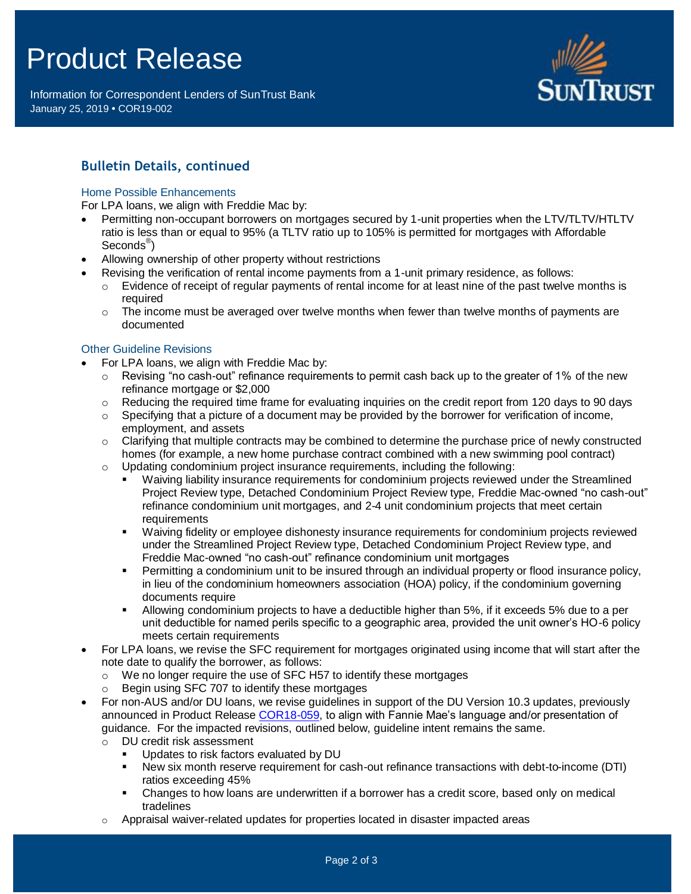# Product Release

Information for Correspondent Lenders of SunTrust Bank January 25, 2019 **•** COR19-002



## **Bulletin Details, continued**

#### Home Possible Enhancements

For LPA loans, we align with Freddie Mac by:

- Permitting non-occupant borrowers on mortgages secured by 1-unit properties when the LTV/TLTV/HTLTV ratio is less than or equal to 95% (a TLTV ratio up to 105% is permitted for mortgages with Affordable Seconds® )
- Allowing ownership of other property without restrictions
	- Revising the verification of rental income payments from a 1-unit primary residence, as follows:
	- $\circ$  Evidence of receipt of regular payments of rental income for at least nine of the past twelve months is required
	- $\circ$  The income must be averaged over twelve months when fewer than twelve months of payments are documented

#### Other Guideline Revisions

- For LPA loans, we align with Freddie Mac by:
	- $\circ$  Revising "no cash-out" refinance requirements to permit cash back up to the greater of 1% of the new refinance mortgage or \$2,000
	- $\circ$  Reducing the required time frame for evaluating inquiries on the credit report from 120 days to 90 days
	- $\circ$  Specifying that a picture of a document may be provided by the borrower for verification of income, employment, and assets
	- $\circ$  Clarifying that multiple contracts may be combined to determine the purchase price of newly constructed homes (for example, a new home purchase contract combined with a new swimming pool contract)  $\circ$  Updating condominium project insurance requirements, including the following:
		- Waiving liability insurance requirements for condominium projects reviewed under the Streamlined Project Review type, Detached Condominium Project Review type, Freddie Mac-owned "no cash-out" refinance condominium unit mortgages, and 2-4 unit condominium projects that meet certain requirements
		- Waiving fidelity or employee dishonesty insurance requirements for condominium projects reviewed under the Streamlined Project Review type, Detached Condominium Project Review type, and Freddie Mac-owned "no cash-out" refinance condominium unit mortgages
		- **Permitting a condominium unit to be insured through an individual property or flood insurance policy,** in lieu of the condominium homeowners association (HOA) policy, if the condominium governing documents require
		- Allowing condominium projects to have a deductible higher than 5%, if it exceeds 5% due to a per unit deductible for named perils specific to a geographic area, provided the unit owner's HO-6 policy meets certain requirements
- For LPA loans, we revise the SFC requirement for mortgages originated using income that will start after the note date to qualify the borrower, as follows:
	- o We no longer require the use of SFC H57 to identify these mortgages
	- Begin using SFC 707 to identify these mortgages
- For non-AUS and/or DU loans, we revise guidelines in support of the DU Version 10.3 updates, previously announced in Product Release [COR18-059,](https://www.truistsellerguide.com/Manual/cor/bulletins/archive/Cr18-059.pdf) to align with Fannie Mae's language and/or presentation of guidance. For the impacted revisions, outlined below, guideline intent remains the same.
	- o DU credit risk assessment
		- Updates to risk factors evaluated by DU
		- New six month reserve requirement for cash-out refinance transactions with debt-to-income (DTI) ratios exceeding 45%
		- Changes to how loans are underwritten if a borrower has a credit score, based only on medical tradelines
	- $\circ$  Appraisal waiver-related updates for properties located in disaster impacted areas